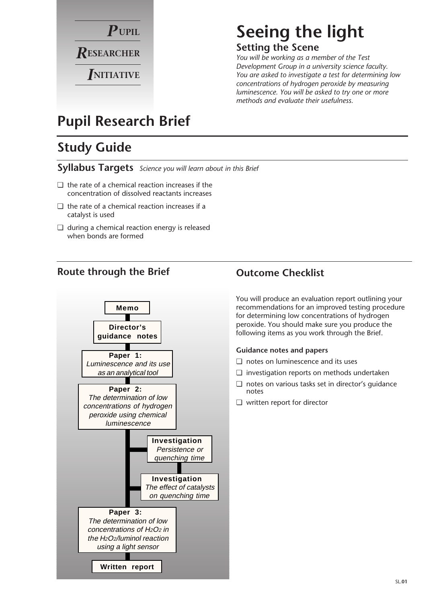

# **Seeing the light Setting the Scene**

*You will be working as a member of the Test Development Group in a university science faculty. You are asked to investigate a test for determining low concentrations of hydrogen peroxide by measuring luminescence. You will be asked to try one or more methods and evaluate their usefulness.*

# **Pupil Research Brief**

# **Study Guide**

**Syllabus Targets** *Science you will learn about in this Brief*

- ❏ the rate of a chemical reaction increases if the concentration of dissolved reactants increases
- ❏ the rate of a chemical reaction increases if a catalyst is used
- ❏ during a chemical reaction energy is released when bonds are formed

# **Route through the Brief Outcome Checklist**



You will produce an evaluation report outlining your recommendations for an improved testing procedure for determining low concentrations of hydrogen peroxide. You should make sure you produce the following items as you work through the Brief.

#### **Guidance notes and papers**

- ❏ notes on luminescence and its uses
- ❏ investigation reports on methods undertaken
- ❏ notes on various tasks set in director's guidance notes
- ❏ written report for director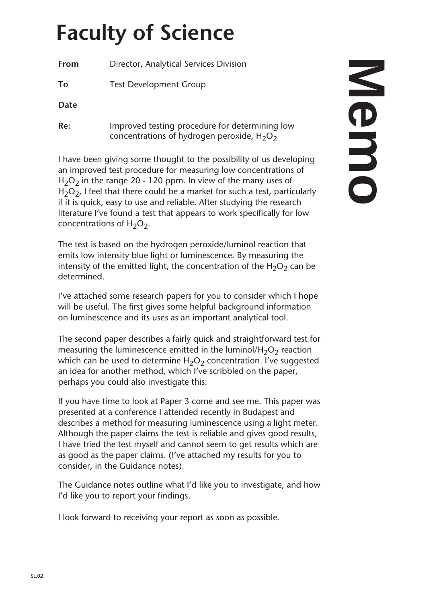# **Faculty of Science**

**From** Director, Analytical Services Division

**To** Test Development Group

**Date**

**Re:** Improved testing procedure for determining low concentrations of hydrogen peroxide,  $H_2O_2$ 

I have been giving some thought to the possibility of us developing an improved test procedure for measuring low concentrations of  $H<sub>2</sub>O<sub>2</sub>$  in the range 20 - 120 ppm. In view of the many uses of  $H<sub>2</sub>O<sub>2</sub>$ , I feel that there could be a market for such a test, particularly if it is quick, easy to use and reliable. After studying the research literature I've found a test that appears to work specifically for low concentrations of  $H_2O_2$ .

The test is based on the hydrogen peroxide/luminol reaction that emits low intensity blue light or luminescence. By measuring the intensity of the emitted light, the concentration of the  $H_2O_2$  can be determined.

I've attached some research papers for you to consider which I hope will be useful. The first gives some helpful background information on luminescence and its uses as an important analytical tool.

The second paper describes a fairly quick and straightforward test for measuring the luminescence emitted in the luminol/H<sub>2</sub>O<sub>2</sub> reaction which can be used to determine  $H_2O_2$  concentration. I've suggested an idea for another method, which I've scribbled on the paper, perhaps you could also investigate this.

If you have time to look at Paper 3 come and see me. This paper was presented at a conference I attended recently in Budapest and describes a method for measuring luminescence using a light meter. Although the paper claims the test is reliable and gives good results, I have tried the test myself and cannot seem to get results which are as good as the paper claims. (I've attached my results for you to consider, in the Guidance notes).

The Guidance notes outline what I'd like you to investigate, and how I'd like you to report your findings.

I look forward to receiving your report as soon as possible.

# **Memo**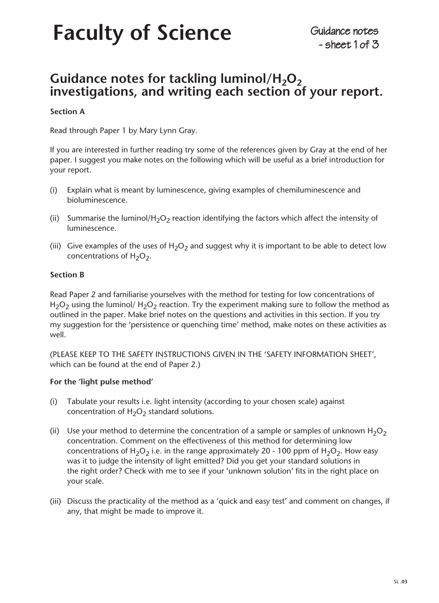# Faculty of Science<br>  $\frac{1}{2}$  Sheet 1 of 3

# Guidance notes for tackling luminol/H<sub>2</sub>O<sub>2</sub> **investigations, and writing each section of your report.**

#### **Section A**

Read through Paper 1 by Mary Lynn Gray.

If you are interested in further reading try some of the references given by Gray at the end of her paper. I suggest you make notes on the following which will be useful as a brief introduction for your report.

- (i) Explain what is meant by luminescence, giving examples of chemiluminescence and bioluminescence.
- (ii) Summarise the luminol/H<sub>2</sub>O<sub>2</sub> reaction identifying the factors which affect the intensity of luminescence.
- (iii) Give examples of the uses of  $H_2O_2$  and suggest why it is important to be able to detect low concentrations of  $H_2O_2$ .

#### **Section B**

Read Paper 2 and familiarise yourselves with the method for testing for low concentrations of  $H_2O_2$  using the luminol/  $H_2O_2$  reaction. Try the experiment making sure to follow the method as outlined in the paper. Make brief notes on the questions and activities in this section. If you try my suggestion for the 'persistence or quenching time' method, make notes on these activities as well.

(PLEASE KEEP TO THE SAFETY INSTRUCTIONS GIVEN IN THE 'SAFETY INFORMATION SHEET', which can be found at the end of Paper 2.)

#### **For the 'light pulse method'**

- (i) Tabulate your results i.e. light intensity (according to your chosen scale) against concentration of  $H_2O_2$  standard solutions.
- (ii) Use your method to determine the concentration of a sample or samples of unknown  $H_2O_2$ concentration. Comment on the effectiveness of this method for determining low concentrations of H<sub>2</sub>O<sub>2</sub> i.e. in the range approximately 20 - 100 ppm of H<sub>2</sub>O<sub>2</sub>. How easy was it to judge the intensity of light emitted? Did you get your standard solutions in the right order? Check with me to see if your 'unknown solution' fits in the right place on your scale.
- (iii) Discuss the practicality of the method as a 'quick and easy test' and comment on changes, if any, that might be made to improve it.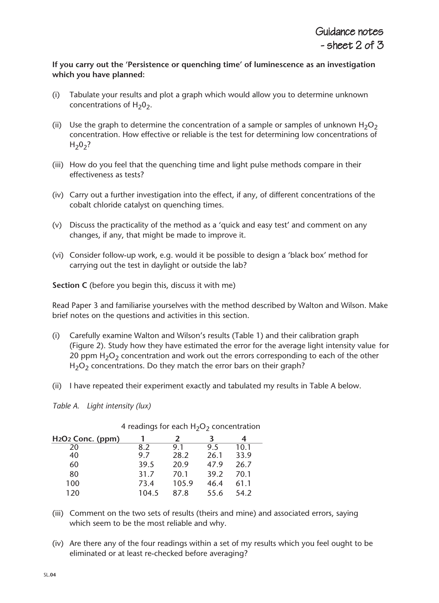#### **If you carry out the 'Persistence or quenching time' of luminescence as an investigation which you have planned:**

- (i) Tabulate your results and plot a graph which would allow you to determine unknown concentrations of  $H_2O_2$ .
- (ii) Use the graph to determine the concentration of a sample or samples of unknown  $H_2O_2$ concentration. How effective or reliable is the test for determining low concentrations of  $H_2O_2?$
- (iii) How do you feel that the quenching time and light pulse methods compare in their effectiveness as tests?
- (iv) Carry out a further investigation into the effect, if any, of different concentrations of the cobalt chloride catalyst on quenching times.
- (v) Discuss the practicality of the method as a 'quick and easy test' and comment on any changes, if any, that might be made to improve it.
- (vi) Consider follow-up work, e.g. would it be possible to design a 'black box' method for carrying out the test in daylight or outside the lab?

**Section C** (before you begin this, discuss it with me)

Read Paper 3 and familiarise yourselves with the method described by Walton and Wilson. Make brief notes on the questions and activities in this section.

- (i) Carefully examine Walton and Wilson's results (Table 1) and their calibration graph (Figure 2). Study how they have estimated the error for the average light intensity value for 20 ppm  $H_2O_2$  concentration and work out the errors corresponding to each of the other  $H<sub>2</sub>O<sub>2</sub>$  concentrations. Do they match the error bars on their graph?
- (ii) I have repeated their experiment exactly and tabulated my results in Table A below.
- *Table A. Light intensity (lux)*

| H <sub>2</sub> O <sub>2</sub> Conc. (ppm) |       | $\boldsymbol{z}$ | ₹    | 4    |
|-------------------------------------------|-------|------------------|------|------|
| 20                                        | 8.2   | 9.1              | 9.5  | 10.1 |
| 40                                        | 9.7   | 28.2             | 26.1 | 33.9 |
| 60                                        | 39.5  | 20.9             | 47.9 | 26.7 |
| 80                                        | 31.7  | 70.1             | 39.2 | 70.1 |
| 100                                       | 73.4  | 105.9            | 46.4 | 61.1 |
| 120                                       | 104.5 | 87.8             | 55.6 | 54.2 |

4 readings for each  $H_2O_2$  concentration

- (iii) Comment on the two sets of results (theirs and mine) and associated errors, saying which seem to be the most reliable and why.
- (iv) Are there any of the four readings within a set of my results which you feel ought to be eliminated or at least re-checked before averaging?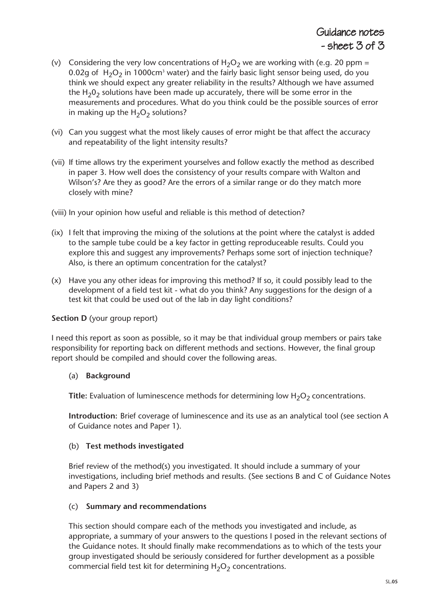- (v) Considering the very low concentrations of  $H_2O_2$  we are working with (e.g. 20 ppm = 0.02g of  $H_2O_2$  in 1000cm<sup>3</sup> water) and the fairly basic light sensor being used, do you think we should expect any greater reliability in the results? Although we have assumed the H<sub>2</sub>0<sub>2</sub> solutions have been made up accurately, there will be some error in the measurements and procedures. What do you think could be the possible sources of error in making up the  $H_2O_2$  solutions?
- (vi) Can you suggest what the most likely causes of error might be that affect the accuracy and repeatability of the light intensity results?
- (vii) If time allows try the experiment yourselves and follow exactly the method as described in paper 3. How well does the consistency of your results compare with Walton and Wilson's? Are they as good? Are the errors of a similar range or do they match more closely with mine?

(viii) In your opinion how useful and reliable is this method of detection?

- (ix) I felt that improving the mixing of the solutions at the point where the catalyst is added to the sample tube could be a key factor in getting reproduceable results. Could you explore this and suggest any improvements? Perhaps some sort of injection technique? Also, is there an optimum concentration for the catalyst?
- (x) Have you any other ideas for improving this method? If so, it could possibly lead to the development of a field test kit - what do you think? Any suggestions for the design of a test kit that could be used out of the lab in day light conditions?

#### **Section D** (your group report)

I need this report as soon as possible, so it may be that individual group members or pairs take responsibility for reporting back on different methods and sections. However, the final group report should be compiled and should cover the following areas.

#### (a) **Background**

**Title:** Evaluation of luminescence methods for determining low  $H_2O_2$  concentrations.

**Introduction:** Brief coverage of luminescence and its use as an analytical tool (see section A of Guidance notes and Paper 1).

#### (b) **Test methods investigated**

Brief review of the method(s) you investigated. It should include a summary of your investigations, including brief methods and results. (See sections B and C of Guidance Notes and Papers 2 and 3)

#### (c) **Summary and recommendations**

This section should compare each of the methods you investigated and include, as appropriate, a summary of your answers to the questions I posed in the relevant sections of the Guidance notes. It should finally make recommendations as to which of the tests your group investigated should be seriously considered for further development as a possible commercial field test kit for determining  $H_2O_2$  concentrations.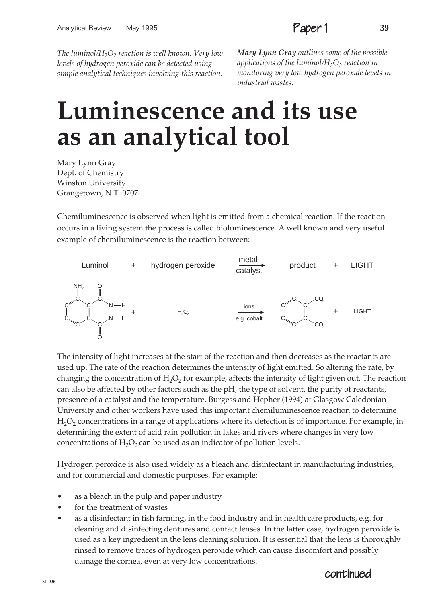*The luminol*/H<sub>2</sub>O<sub>2</sub> *reaction is well known. Very low levels of hydrogen peroxide can be detected using simple analytical techniques involving this reaction.* *Mary Lynn Gray outlines some of the possible applications of the luminol*/H<sub>2</sub>O<sub>2</sub> *reaction in monitoring very low hydrogen peroxide levels in industrial wastes.*

# **Luminescence and its use as an analytical tool**

Mary Lynn Gray Dept. of Chemistry Winston University Grangetown, N.T. 0707

Chemiluminescence is observed when light is emitted from a chemical reaction. If the reaction occurs in a living system the process is called bioluminescence. A well known and very useful example of chemiluminescence is the reaction between:



The intensity of light increases at the start of the reaction and then decreases as the reactants are used up. The rate of the reaction determines the intensity of light emitted. So altering the rate, by changing the concentration of  $H_2O_2$  for example, affects the intensity of light given out. The reaction can also be affected by other factors such as the pH, the type of solvent, the purity of reactants, presence of a catalyst and the temperature. Burgess and Hepher (1994) at Glasgow Caledonian University and other workers have used this important chemiluminescence reaction to determine  $H<sub>2</sub>O<sub>2</sub>$  concentrations in a range of applications where its detection is of importance. For example, in determining the extent of acid rain pollution in lakes and rivers where changes in very low concentrations of  $H_2O_2$  can be used as an indicator of pollution levels.

Hydrogen peroxide is also used widely as a bleach and disinfectant in manufacturing industries, and for commercial and domestic purposes. For example:

- as a bleach in the pulp and paper industry
- for the treatment of wastes
- as a disinfectant in fish farming, in the food industry and in health care products, e.g. for cleaning and disinfecting dentures and contact lenses. In the latter case, hydrogen peroxide is used as a key ingredient in the lens cleaning solution. It is essential that the lens is thoroughly rinsed to remove traces of hydrogen peroxide which can cause discomfort and possibly damage the cornea, even at very low concentrations.

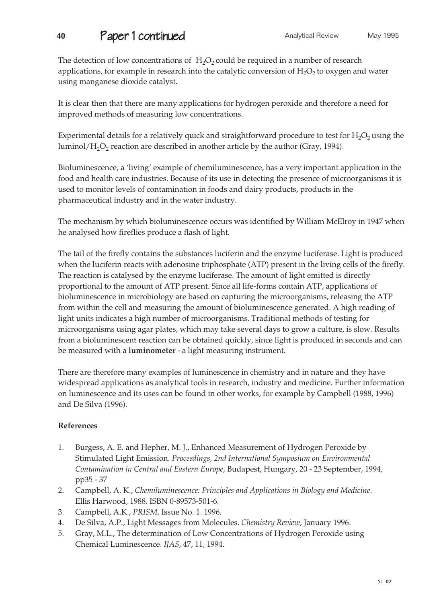# **40 Paper 1 continued Analytical Review** May 1995

The detection of low concentrations of  $H_2O_2$  could be required in a number of research applications, for example in research into the catalytic conversion of  $H_2O_2$  to oxygen and water using manganese dioxide catalyst.

It is clear then that there are many applications for hydrogen peroxide and therefore a need for improved methods of measuring low concentrations.

Experimental details for a relatively quick and straightforward procedure to test for  $H_2O_2$  using the luminol/H<sub>2</sub>O<sub>2</sub> reaction are described in another article by the author (Gray, 1994).

Bioluminescence, a 'living' example of chemiluminescence, has a very important application in the food and health care industries. Because of its use in detecting the presence of microorganisms it is used to monitor levels of contamination in foods and dairy products, products in the pharmaceutical industry and in the water industry.

The mechanism by which bioluminescence occurs was identified by William McElroy in 1947 when he analysed how fireflies produce a flash of light.

The tail of the firefly contains the substances luciferin and the enzyme luciferase. Light is produced when the luciferin reacts with adenosine triphosphate (ATP) present in the living cells of the firefly. The reaction is catalysed by the enzyme luciferase. The amount of light emitted is directly proportional to the amount of ATP present. Since all life-forms contain ATP, applications of bioluminescence in microbiology are based on capturing the microorganisms, releasing the ATP from within the cell and measuring the amount of bioluminescence generated. A high reading of light units indicates a high number of microorganisms. Traditional methods of testing for microorganisms using agar plates, which may take several days to grow a culture, is slow. Results from a bioluminescent reaction can be obtained quickly, since light is produced in seconds and can be measured with a **luminometer** - a light measuring instrument.

There are therefore many examples of luminescence in chemistry and in nature and they have widespread applications as analytical tools in research, industry and medicine. Further information on luminescence and its uses can be found in other works, for example by Campbell (1988, 1996) and De Silva (1996).

#### **References**

- 1. Burgess, A. E. and Hepher, M. J., Enhanced Measurement of Hydrogen Peroxide by Stimulated Light Emission. *Proceedings, 2nd International Symposium on Environmental Contamination in Central and Eastern Europe*, Budapest, Hungary, 20 - 23 September, 1994, pp35 - 37
- 2. Campbell, A. K., *Chemiluminescence: Principles and Applications in Biology and Medicine*. Ellis Harwood, 1988. ISBN 0-89573-501-6.
- 3. Campbell, A.K., *PRISM,* Issue No. 1. 1996.
- 4. De Silva, A.P., Light Messages from Molecules. *Chemistry Review*, January 1996.
- 5. Gray, M.L., The determination of Low Concentrations of Hydrogen Peroxide using Chemical Luminescence. *IJAS*, 47, 11, 1994.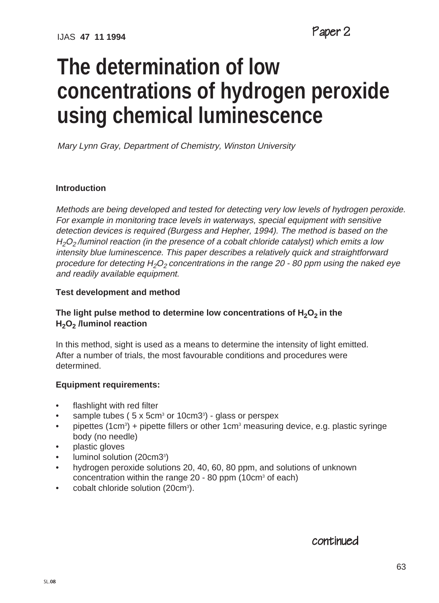# **The determination of low concentrations of hydrogen peroxide using chemical luminescence**

Mary Lynn Gray, Department of Chemistry, Winston University

#### **Introduction**

Methods are being developed and tested for detecting very low levels of hydrogen peroxide. For example in monitoring trace levels in waterways, special equipment with sensitive detection devices is required (Burgess and Hepher, 1994). The method is based on the  $H_2O_2$ /luminol reaction (in the presence of a cobalt chloride catalyst) which emits a low intensity blue luminescence. This paper describes a relatively quick and straightforward procedure for detecting  $H_2O_2$  concentrations in the range 20 - 80 ppm using the naked eye and readily available equipment.

#### **Test development and method**

#### The light pulse method to determine low concentrations of H<sub>2</sub>O<sub>2</sub> in the **H2O2 /luminol reaction**

In this method, sight is used as a means to determine the intensity of light emitted. After a number of trials, the most favourable conditions and procedures were determined.

#### **Equipment requirements:**

- flashlight with red filter
- sample tubes ( $5 \times 5$ cm<sup>3</sup> or 10cm3<sup>3</sup>) glass or perspex
- pipettes (1cm<sup>3</sup>) + pipette fillers or other 1cm<sup>3</sup> measuring device, e.g. plastic syringe body (no needle)
- plastic gloves
- luminol solution (20cm3<sup>3</sup>)
- hydrogen peroxide solutions 20, 40, 60, 80 ppm, and solutions of unknown concentration within the range  $20 - 80$  ppm (10cm<sup>3</sup> of each)
- cobalt chloride solution (20cm<sup>3</sup>).

#### continued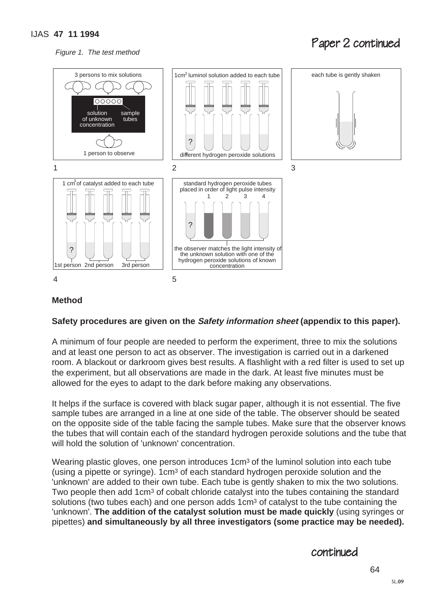Figure 1. The test method

# Paper 2 continued



#### **Method**

#### **Safety procedures are given on the Safety information sheet (appendix to this paper).**

A minimum of four people are needed to perform the experiment, three to mix the solutions and at least one person to act as observer. The investigation is carried out in a darkened room. A blackout or darkroom gives best results. A flashlight with a red filter is used to set up the experiment, but all observations are made in the dark. At least five minutes must be allowed for the eyes to adapt to the dark before making any observations.

It helps if the surface is covered with black sugar paper, although it is not essential. The five sample tubes are arranged in a line at one side of the table. The observer should be seated on the opposite side of the table facing the sample tubes. Make sure that the observer knows the tubes that will contain each of the standard hydrogen peroxide solutions and the tube that will hold the solution of 'unknown' concentration.

Wearing plastic gloves, one person introduces 1cm<sup>3</sup> of the luminol solution into each tube (using a pipette or syringe). 1cm3 of each standard hydrogen peroxide solution and the 'unknown' are added to their own tube. Each tube is gently shaken to mix the two solutions. Two people then add 1cm3 of cobalt chloride catalyst into the tubes containing the standard solutions (two tubes each) and one person adds 1 $cm<sup>3</sup>$  of catalyst to the tube containing the 'unknown'. **The addition of the catalyst solution must be made quickly** (using syringes or pipettes) **and simultaneously by all three investigators (some practice may be needed).**

#### continued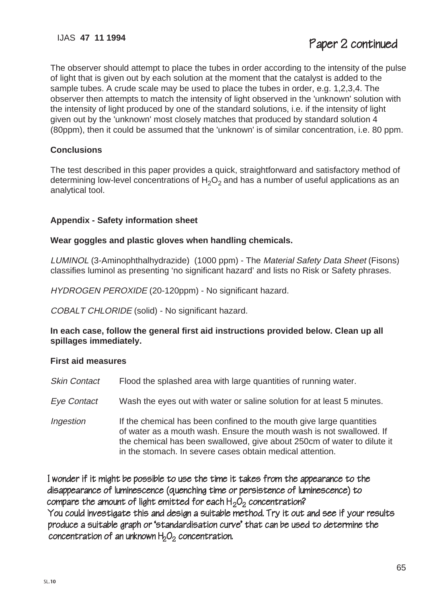The observer should attempt to place the tubes in order according to the intensity of the pulse of light that is given out by each solution at the moment that the catalyst is added to the sample tubes. A crude scale may be used to place the tubes in order, e.g. 1,2,3,4. The observer then attempts to match the intensity of light observed in the 'unknown' solution with the intensity of light produced by one of the standard solutions, i.e. if the intensity of light given out by the 'unknown' most closely matches that produced by standard solution 4 (80ppm), then it could be assumed that the 'unknown' is of similar concentration, i.e. 80 ppm.

#### **Conclusions**

The test described in this paper provides a quick, straightforward and satisfactory method of determining low-level concentrations of  $H_2O_2$  and has a number of useful applications as an analytical tool.

#### **Appendix - Safety information sheet**

#### **Wear goggles and plastic gloves when handling chemicals.**

LUMINOL (3-Aminophthalhydrazide) (1000 ppm) - The Material Safety Data Sheet (Fisons) classifies luminol as presenting 'no significant hazard' and lists no Risk or Safety phrases.

HYDROGEN PEROXIDE (20-120ppm) - No significant hazard.

COBALT CHLORIDE (solid) - No significant hazard.

#### **In each case, follow the general first aid instructions provided below. Clean up all spillages immediately.**

#### **First aid measures**

- Skin Contact Flood the splashed area with large quantities of running water.
- Eye Contact Wash the eyes out with water or saline solution for at least 5 minutes.
- Ingestion If the chemical has been confined to the mouth give large quantities of water as a mouth wash. Ensure the mouth wash is not swallowed. If the chemical has been swallowed, give about 250cm of water to dilute it in the stomach. In severe cases obtain medical attention.

I wonder if it might be possible to use the time it takes from the appearance to the disappearance of luminescence (quenching time or persistence of luminescence) to compare the amount of light emitted for each  $H_2O_2$  concentration? You could investigate this and design a suitable method. Try it out and see if your results produce a suitable graph or 'standardisation curve' that can be used to determine the concentration of an unknown  $H_2O_2$  concentration.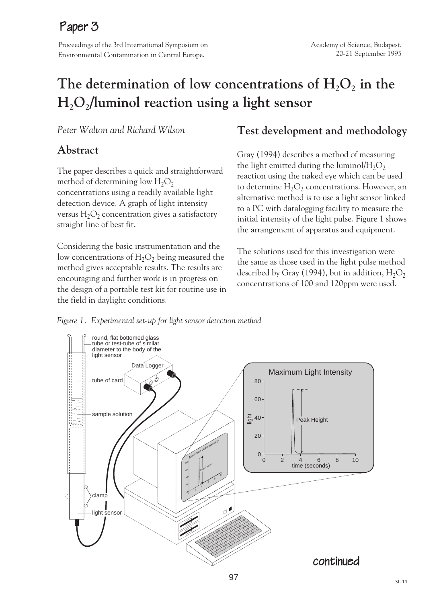# Paper 3

Proceedings of the 3rd International Symposium on Environmental Contamination in Central Europe.

# The determination of low concentrations of  $H_2O_2$  in the **H2O2/luminol reaction using a light sensor**

*Peter Walton and Richard Wilson*

## **Abstract**

The paper describes a quick and straightforward method of determining low  $H_2O_2$ concentrations using a readily available light detection device. A graph of light intensity versus  $H_2O_2$  concentration gives a satisfactory straight line of best fit.

Considering the basic instrumentation and the low concentrations of  $H_2O_2$  being measured the method gives acceptable results. The results are encouraging and further work is in progress on the design of a portable test kit for routine use in the field in daylight conditions.

# **Test development and methodology**

Gray (1994) describes a method of measuring the light emitted during the luminol/ $H_2O_2$ reaction using the naked eye which can be used to determine  $H_2O_2$  concentrations. However, an alternative method is to use a light sensor linked to a PC with datalogging facility to measure the initial intensity of the light pulse. Figure 1 shows the arrangement of apparatus and equipment.

The solutions used for this investigation were the same as those used in the light pulse method described by Gray (1994), but in addition,  $H_2O_2$ concentrations of 100 and 120ppm were used.

*Figure 1. Experimental set-up for light sensor detection method*

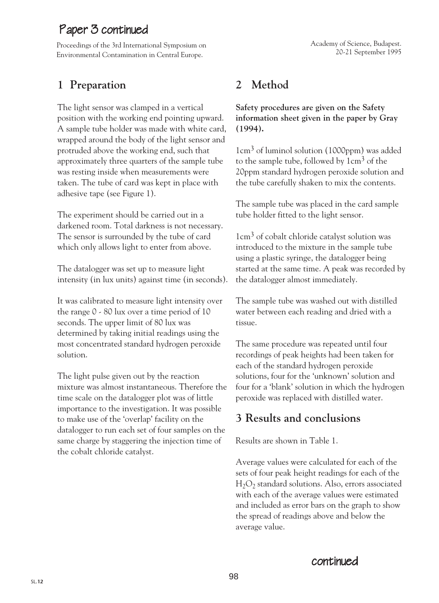# Paper 3 continued

Proceedings of the 3rd International Symposium on Environmental Contamination in Central Europe.

# **1 Preparation**

The light sensor was clamped in a vertical position with the working end pointing upward. A sample tube holder was made with white card, wrapped around the body of the light sensor and protruded above the working end, such that approximately three quarters of the sample tube was resting inside when measurements were taken. The tube of card was kept in place with adhesive tape (see Figure 1).

The experiment should be carried out in a darkened room. Total darkness is not necessary. The sensor is surrounded by the tube of card which only allows light to enter from above.

The datalogger was set up to measure light intensity (in lux units) against time (in seconds).

It was calibrated to measure light intensity over the range 0 - 80 lux over a time period of 10 seconds. The upper limit of 80 lux was determined by taking initial readings using the most concentrated standard hydrogen peroxide solution.

The light pulse given out by the reaction mixture was almost instantaneous. Therefore the time scale on the datalogger plot was of little importance to the investigation. It was possible to make use of the 'overlap' facility on the datalogger to run each set of four samples on the same charge by staggering the injection time of the cobalt chloride catalyst.

# **2 Method**

**Safety procedures are given on the Safety information sheet given in the paper by Gray (1994).**

1cm3 of luminol solution (1000ppm) was added to the sample tube, followed by  $1 \text{cm}^3$  of the 20ppm standard hydrogen peroxide solution and the tube carefully shaken to mix the contents.

The sample tube was placed in the card sample tube holder fitted to the light sensor.

 $1 \text{cm}^3$  of cobalt chloride catalyst solution was introduced to the mixture in the sample tube using a plastic syringe, the datalogger being started at the same time. A peak was recorded by the datalogger almost immediately.

The sample tube was washed out with distilled water between each reading and dried with a tissue.

The same procedure was repeated until four recordings of peak heights had been taken for each of the standard hydrogen peroxide solutions, four for the 'unknown' solution and four for a 'blank' solution in which the hydrogen peroxide was replaced with distilled water.

# **3 Results and conclusions**

Results are shown in Table 1.

Average values were calculated for each of the sets of four peak height readings for each of the  $H_2O_2$  standard solutions. Also, errors associated with each of the average values were estimated and included as error bars on the graph to show the spread of readings above and below the average value.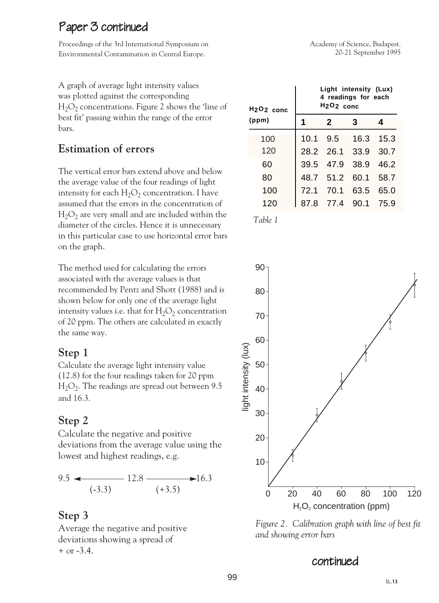# Paper 3 continued

Proceedings of the 3rd International Symposium on Environmental Contamination in Central Europe.

A graph of average light intensity values was plotted against the corresponding  $H_2O_2$  concentrations. Figure 2 shows the 'line of best fit' passing within the range of the error bars.

# **Estimation of errors**

The vertical error bars extend above and below the average value of the four readings of light intensity for each  $H_2O_2$  concentration. I have assumed that the errors in the concentration of  $H_2O_2$  are very small and are included within the diameter of the circles. Hence it is unnecessary in this particular case to use horizontal error bars on the graph.

The method used for calculating the errors associated with the average values is that recommended by Pentz and Shott (1988) and is shown below for only one of the average light intensity values i.e. that for  $H_2O_2$  concentration of 20 ppm. The others are calculated in exactly the same way.

## **Step 1**

Calculate the average light intensity value (12.8) for the four readings taken for 20 ppm  $H<sub>2</sub>O<sub>2</sub>$ . The readings are spread out between 9.5 and 16.3.

# **Step 2**

Calculate the negative and positive deviations from the average value using the lowest and highest readings, e.g.

$$
9.5 \leftarrow 12.8 \longrightarrow 16.3
$$
\n
$$
(-3.3) \leftarrow (+3.5)
$$

# **Step 3**

Average the negative and positive deviations showing a spread of + or -3.4.



| H <sub>2</sub> O <sub>2</sub> conc<br>(ppm) | Light intensity (Lux)<br>4 readings for each<br>$H2O2$ conc |      |                |      |  |
|---------------------------------------------|-------------------------------------------------------------|------|----------------|------|--|
|                                             | 1                                                           | 2    | 3              | 4    |  |
| 100                                         | 10.1                                                        | 9.5  | 16.3           | 15.3 |  |
| 120                                         |                                                             |      | 28.2 26.1 33.9 | 30.7 |  |
| 60                                          | 39.5                                                        | 47.9 | 38.9           | 46.2 |  |
| 80                                          | 48.7                                                        | 51.2 | 60.1           | 58.7 |  |
| 100                                         | 72.1                                                        | 70.1 | 63.5           | 65.0 |  |
| 120                                         | 87.8                                                        | 77.4 | 90.1           | 75.9 |  |

*Table 1*



*Figure 2. Calibration graph with line of best fit and showing error bars*

## continued